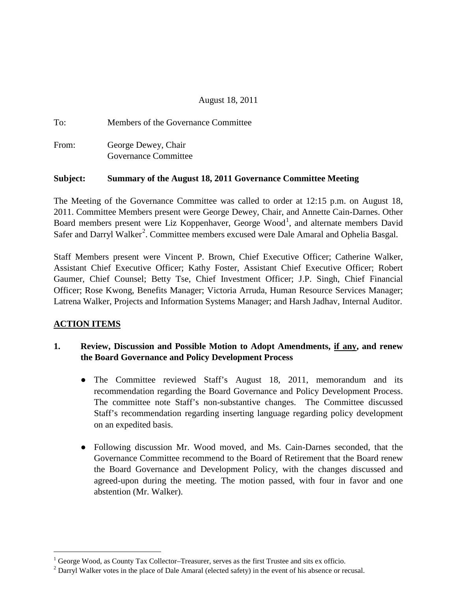August 18, 2011

| To:   | Members of the Governance Committee         |
|-------|---------------------------------------------|
| From: | George Dewey, Chair<br>Governance Committee |

#### **Subject: Summary of the August 18, 2011 Governance Committee Meeting**

The Meeting of the Governance Committee was called to order at 12:15 p.m. on August 18, 2011. Committee Members present were George Dewey, Chair, and Annette Cain-Darnes. Other Board members present were Liz Koppenhaver, George Wood<sup>[1](#page-0-0)</sup>, and alternate members David Safer and Darryl Walker<sup>[2](#page-0-1)</sup>. Committee members excused were Dale Amaral and Ophelia Basgal.

Staff Members present were Vincent P. Brown, Chief Executive Officer; Catherine Walker, Assistant Chief Executive Officer; Kathy Foster, Assistant Chief Executive Officer; Robert Gaumer, Chief Counsel; Betty Tse, Chief Investment Officer; J.P. Singh, Chief Financial Officer; Rose Kwong, Benefits Manager; Victoria Arruda, Human Resource Services Manager; Latrena Walker, Projects and Information Systems Manager; and Harsh Jadhav, Internal Auditor.

#### **ACTION ITEMS**

## **1. Review, Discussion and Possible Motion to Adopt Amendments, if any, and renew the Board Governance and Policy Development Process**

- The Committee reviewed Staff's August 18, 2011, memorandum and its recommendation regarding the Board Governance and Policy Development Process. The committee note Staff's non-substantive changes. The Committee discussed Staff's recommendation regarding inserting language regarding policy development on an expedited basis.
- Following discussion Mr. Wood moved, and Ms. Cain-Darnes seconded, that the Governance Committee recommend to the Board of Retirement that the Board renew the Board Governance and Development Policy, with the changes discussed and agreed-upon during the meeting. The motion passed, with four in favor and one abstention (Mr. Walker).

<span id="page-0-0"></span> $<sup>1</sup>$  George Wood, as County Tax Collector–Treasurer, serves as the first Trustee and sits ex officio.</sup>

<span id="page-0-1"></span> $2$  Darryl Walker votes in the place of Dale Amaral (elected safety) in the event of his absence or recusal.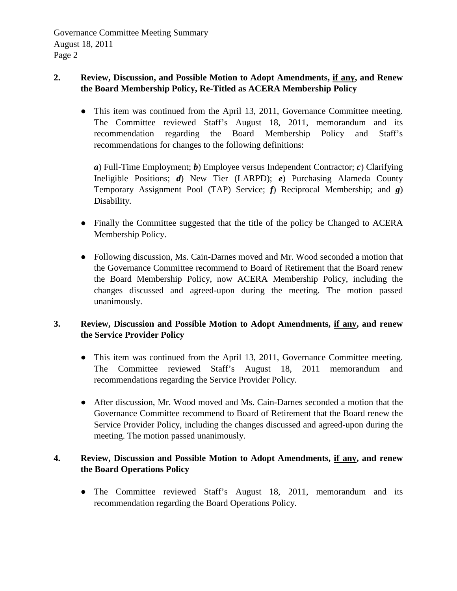Governance Committee Meeting Summary August 18, 2011 Page 2

### **2. Review, Discussion, and Possible Motion to Adopt Amendments, if any, and Renew the Board Membership Policy, Re-Titled as ACERA Membership Policy**

• This item was continued from the April 13, 2011, Governance Committee meeting. The Committee reviewed Staff's August 18, 2011, memorandum and its recommendation regarding the Board Membership Policy and Staff's recommendations for changes to the following definitions:

*a*) Full-Time Employment; *b*) Employee versus Independent Contractor; *c*) Clarifying Ineligible Positions; *d*) New Tier (LARPD); *e*) Purchasing Alameda County Temporary Assignment Pool (TAP) Service; *f*) Reciprocal Membership; and *g*) Disability.

- Finally the Committee suggested that the title of the policy be Changed to ACERA Membership Policy.
- Following discussion, Ms. Cain-Darnes moved and Mr. Wood seconded a motion that the Governance Committee recommend to Board of Retirement that the Board renew the Board Membership Policy, now ACERA Membership Policy, including the changes discussed and agreed-upon during the meeting. The motion passed unanimously.

## **3. Review, Discussion and Possible Motion to Adopt Amendments, if any, and renew the Service Provider Policy**

- This item was continued from the April 13, 2011, Governance Committee meeting. The Committee reviewed Staff's August 18, 2011 memorandum and recommendations regarding the Service Provider Policy.
- After discussion, Mr. Wood moved and Ms. Cain-Darnes seconded a motion that the Governance Committee recommend to Board of Retirement that the Board renew the Service Provider Policy, including the changes discussed and agreed-upon during the meeting. The motion passed unanimously.

## **4. Review, Discussion and Possible Motion to Adopt Amendments, if any, and renew the Board Operations Policy**

● The Committee reviewed Staff's August 18, 2011, memorandum and its recommendation regarding the Board Operations Policy.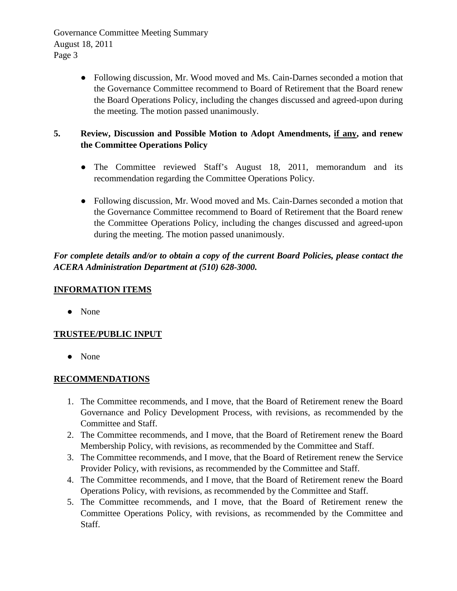Governance Committee Meeting Summary August 18, 2011 Page 3

> ● Following discussion, Mr. Wood moved and Ms. Cain-Darnes seconded a motion that the Governance Committee recommend to Board of Retirement that the Board renew the Board Operations Policy, including the changes discussed and agreed-upon during the meeting. The motion passed unanimously.

## **5. Review, Discussion and Possible Motion to Adopt Amendments, if any, and renew the Committee Operations Policy**

- The Committee reviewed Staff's August 18, 2011, memorandum and its recommendation regarding the Committee Operations Policy.
- Following discussion, Mr. Wood moved and Ms. Cain-Darnes seconded a motion that the Governance Committee recommend to Board of Retirement that the Board renew the Committee Operations Policy, including the changes discussed and agreed-upon during the meeting. The motion passed unanimously.

# *For complete details and/or to obtain a copy of the current Board Policies, please contact the ACERA Administration Department at (510) 628-3000.*

# **INFORMATION ITEMS**

● None

# **TRUSTEE/PUBLIC INPUT**

● None

#### **RECOMMENDATIONS**

- 1. The Committee recommends, and I move, that the Board of Retirement renew the Board Governance and Policy Development Process, with revisions, as recommended by the Committee and Staff.
- 2. The Committee recommends, and I move, that the Board of Retirement renew the Board Membership Policy, with revisions, as recommended by the Committee and Staff.
- 3. The Committee recommends, and I move, that the Board of Retirement renew the Service Provider Policy, with revisions, as recommended by the Committee and Staff.
- 4. The Committee recommends, and I move, that the Board of Retirement renew the Board Operations Policy, with revisions, as recommended by the Committee and Staff.
- 5. The Committee recommends, and I move, that the Board of Retirement renew the Committee Operations Policy, with revisions, as recommended by the Committee and Staff.